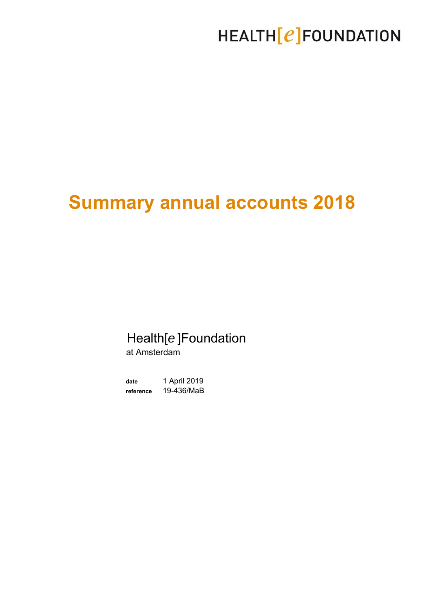## HEALTH [e] FOUNDATION

# **Summary annual accounts 2018**

### Health[*e* ]Foundation

at Amsterdam

**date** 1 April 2019 **reference** 19-436/MaB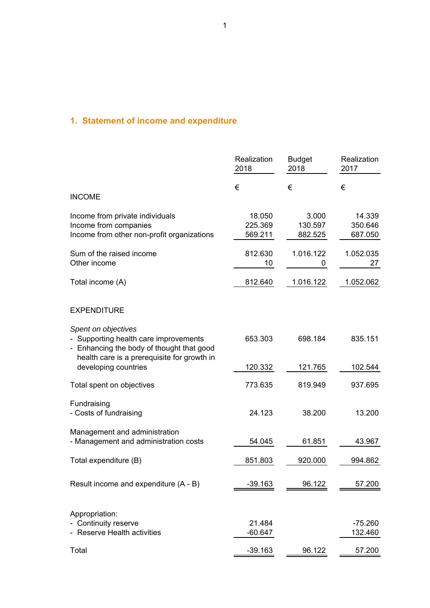#### **1. Statement of income and expenditure**

|                                                                                                                                                          | Realization<br>2018          | <b>Budget</b><br>2018       | Realization<br>2017          |
|----------------------------------------------------------------------------------------------------------------------------------------------------------|------------------------------|-----------------------------|------------------------------|
| <b>INCOME</b>                                                                                                                                            | €                            | €                           | €                            |
| Income from private individuals<br>Income from companies<br>Income from other non-profit organizations                                                   | 18.050<br>225.369<br>569.211 | 3.000<br>130.597<br>882.525 | 14.339<br>350.646<br>687.050 |
| Sum of the raised income<br>Other income                                                                                                                 | 812.630<br>10                | 1.016.122<br>0              | 1.052.035<br>27              |
| Total income (A)                                                                                                                                         | 812.640                      | 1.016.122                   | 1.052.062                    |
| <b>EXPENDITURE</b>                                                                                                                                       |                              |                             |                              |
| Spent on objectives<br>- Supporting health care improvements<br>- Enhancing the body of thought that good<br>health care is a prerequisite for growth in | 653.303                      | 698.184                     | 835.151                      |
| developing countries                                                                                                                                     | 120.332                      | 121.765                     | 102.544                      |
| Total spent on objectives                                                                                                                                | 773.635                      | 819.949                     | 937.695                      |
| Fundraising<br>- Costs of fundraising                                                                                                                    | 24.123                       | 38.200                      | 13.200                       |
| Management and administration<br>- Management and administration costs                                                                                   | 54.045                       | 61.851                      | 43.967                       |
| Total expenditure (B)                                                                                                                                    | 851.803                      | 920.000                     | 994.862                      |
| Result income and expenditure (A - B)                                                                                                                    | $-39.163$                    | 96.122                      | 57.200                       |
| Appropriation:<br>- Continuity reserve<br>- Reserve Health activities                                                                                    | 21.484<br>$-60.647$          |                             | -75.260<br>132.460           |
| Total                                                                                                                                                    | $-39.163$                    | 96.122                      | 57.200                       |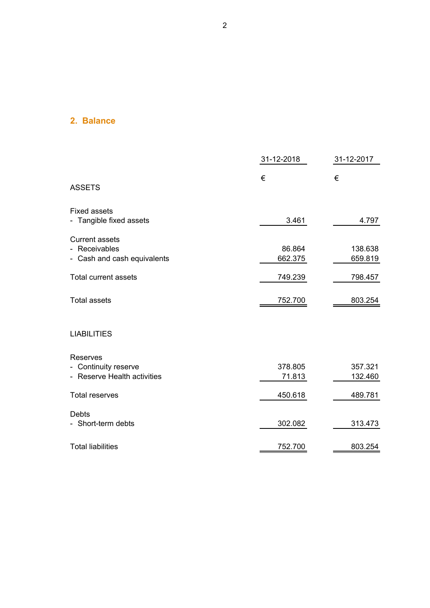#### **2. Balance**

|                                                                       | 31-12-2018        | 31-12-2017         |  |
|-----------------------------------------------------------------------|-------------------|--------------------|--|
| <b>ASSETS</b>                                                         | €                 | €                  |  |
| <b>Fixed assets</b><br>- Tangible fixed assets                        | 3.461             | 4.797              |  |
|                                                                       |                   |                    |  |
| <b>Current assets</b><br>- Receivables<br>- Cash and cash equivalents | 86.864<br>662.375 | 138.638<br>659.819 |  |
| <b>Total current assets</b>                                           | 749.239           | 798.457            |  |
| <b>Total assets</b>                                                   | 752.700           | 803.254            |  |
| <b>LIABILITIES</b>                                                    |                   |                    |  |
| Reserves                                                              |                   |                    |  |
| - Continuity reserve                                                  | 378.805           | 357.321            |  |
| - Reserve Health activities                                           | 71.813            | 132.460            |  |
| <b>Total reserves</b>                                                 | 450.618           | 489.781            |  |
| <b>Debts</b>                                                          |                   |                    |  |
| - Short-term debts                                                    | 302.082           | 313.473            |  |
| <b>Total liabilities</b>                                              | 752.700           | 803.254            |  |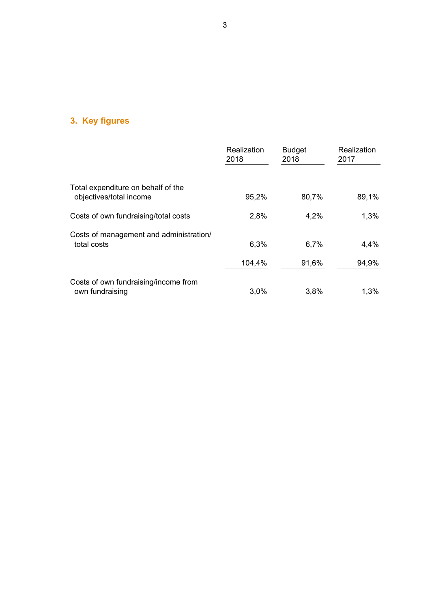### **3. Key figures**

|                                                               | Realization<br>2018 | <b>Budget</b><br>2018 | Realization<br>2017 |
|---------------------------------------------------------------|---------------------|-----------------------|---------------------|
|                                                               |                     |                       |                     |
| Total expenditure on behalf of the<br>objectives/total income | 95,2%               | 80,7%                 | 89,1%               |
| Costs of own fundraising/total costs                          | 2,8%                | 4,2%                  | 1,3%                |
| Costs of management and administration/<br>total costs        | 6,3%                | 6,7%                  | 4,4%                |
|                                                               | 104,4%              | 91,6%                 | 94,9%               |
| Costs of own fundraising/income from<br>own fundraising       | 3.0%                | 3.8%                  | 1,3%                |